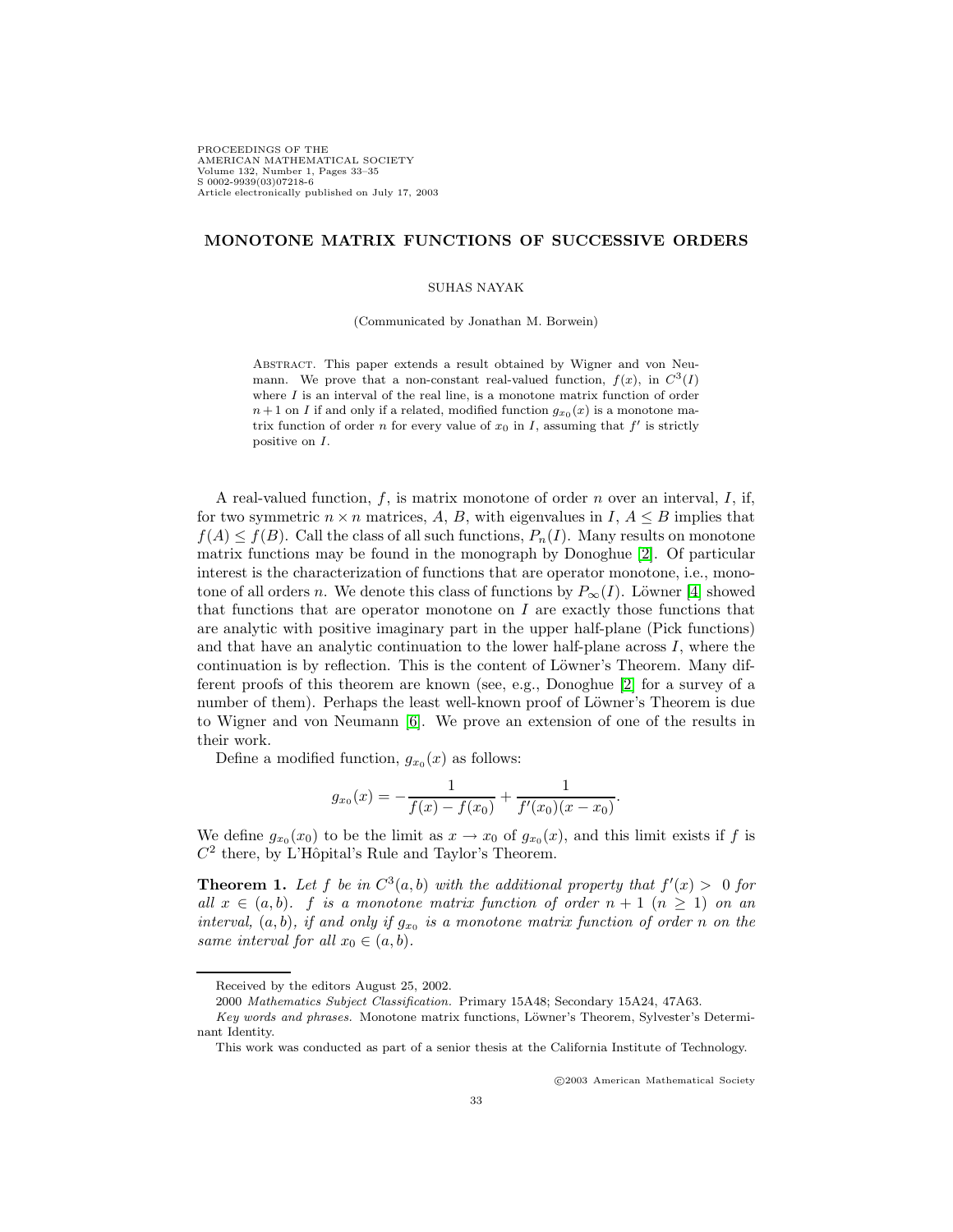PROCEEDINGS OF THE AMERICAN MATHEMATICAL SOCIETY Volume 132, Number 1, Pages 33–35 S 0002-9939(03)07218-6 Article electronically published on July 17, 2003

# **MONOTONE MATRIX FUNCTIONS OF SUCCESSIVE ORDERS**

### SUHAS NAYAK

(Communicated by Jonathan M. Borwein)

Abstract. This paper extends a result obtained by Wigner and von Neumann. We prove that a non-constant real-valued function,  $f(x)$ , in  $C^3(I)$ where  $I$  is an interval of the real line, is a monotone matrix function of order  $n+1$  on I if and only if a related, modified function  $g_{x_0}(x)$  is a monotone matrix function of order n for every value of  $x_0$  in I, assuming that  $f'$  is strictly positive on I.

A real-valued function,  $f$ , is matrix monotone of order n over an interval, I, if, for two symmetric  $n \times n$  matrices, A, B, with eigenvalues in I,  $A \leq B$  implies that  $f(A) \leq f(B)$ . Call the class of all such functions,  $P_n(I)$ . Many results on monotone matrix functions may be found in the monograph by Donoghue [\[2\]](#page-2-0). Of particular interest is the characterization of functions that are operator monotone, i.e., monotone of all orders n. We denote this class of functions by  $P_{\infty}(I)$ . Löwner [\[4\]](#page-2-1) showed that functions that are operator monotone on  $I$  are exactly those functions that are analytic with positive imaginary part in the upper half-plane (Pick functions) and that have an analytic continuation to the lower half-plane across  $I$ , where the continuation is by reflection. This is the content of Löwner's Theorem. Many different proofs of this theorem are known (see, e.g., Donoghue [\[2\]](#page-2-0) for a survey of a number of them). Perhaps the least well-known proof of Löwner's Theorem is due to Wigner and von Neumann [\[6\]](#page-2-2). We prove an extension of one of the results in their work.

Define a modified function,  $g_{x_0}(x)$  as follows:

$$
g_{x_0}(x) = -\frac{1}{f(x) - f(x_0)} + \frac{1}{f'(x_0)(x - x_0)}.
$$

We define  $g_{x_0}(x_0)$  to be the limit as  $x \to x_0$  of  $g_{x_0}(x)$ , and this limit exists if f is  $C<sup>2</sup>$  there, by L'Hôpital's Rule and Taylor's Theorem.

**Theorem 1.** Let f be in  $C^3(a,b)$  with the additional property that  $f'(x) > 0$  for all  $x \in (a, b)$ . f is a monotone matrix function of order  $n + 1$   $(n \ge 1)$  on an interval,  $(a, b)$ , if and only if  $g_{x_0}$  is a monotone matrix function of order n on the same interval for all  $x_0 \in (a, b)$ .

c 2003 American Mathematical Society

Received by the editors August 25, 2002.

<sup>2000</sup> Mathematics Subject Classification. Primary 15A48; Secondary 15A24, 47A63.

Key words and phrases. Monotone matrix functions, Löwner's Theorem, Sylvester's Determinant Identity.

This work was conducted as part of a senior thesis at the California Institute of Technology.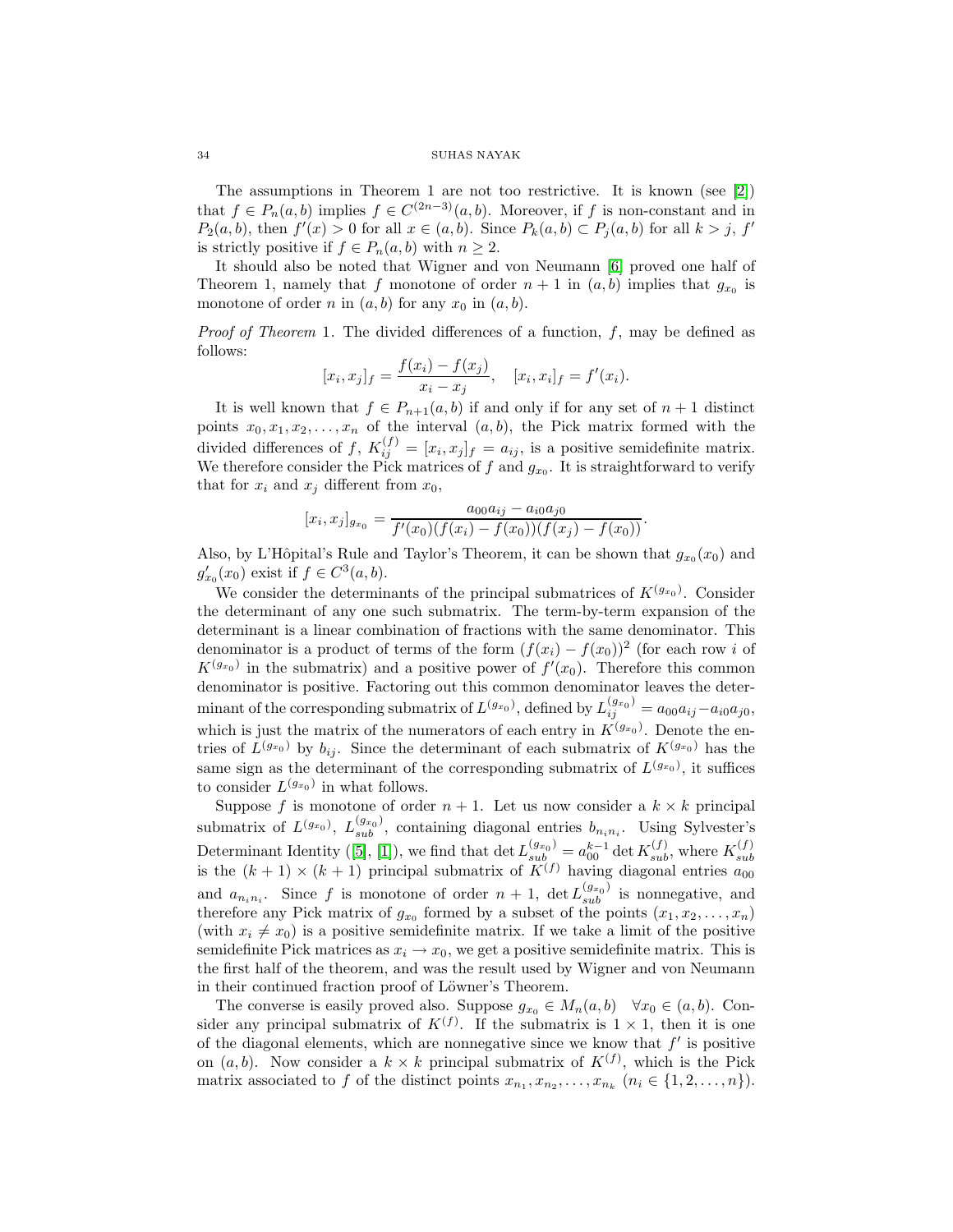#### 34 SUHAS NAYAK

The assumptions in Theorem 1 are not too restrictive. It is known (see [\[2\]](#page-2-0)) that  $f \in P_n(a, b)$  implies  $f \in C^{(2n-3)}(a, b)$ . Moreover, if f is non-constant and in  $P_2(a, b)$ , then  $f'(x) > 0$  for all  $x \in (a, b)$ . Since  $P_k(a, b) \subset P_j(a, b)$  for all  $k > j$ ,  $f'(a)$ is strictly positive if  $f \in P_n(a, b)$  with  $n \geq 2$ .

It should also be noted that Wigner and von Neumann [\[6\]](#page-2-2) proved one half of Theorem 1, namely that f monotone of order  $n + 1$  in  $(a, b)$  implies that  $g_{x_0}$  is monotone of order n in  $(a, b)$  for any  $x_0$  in  $(a, b)$ .

*Proof of Theorem 1.* The divided differences of a function,  $f$ , may be defined as follows:

$$
[x_i, x_j]_f = \frac{f(x_i) - f(x_j)}{x_i - x_j}, \quad [x_i, x_i]_f = f'(x_i).
$$

It is well known that  $f \in P_{n+1}(a, b)$  if and only if for any set of  $n+1$  distinct points  $x_0, x_1, x_2, \ldots, x_n$  of the interval  $(a, b)$ , the Pick matrix formed with the divided differences of f,  $K_{ij}^{(f)} = [x_i, x_j]_f = a_{ij}$ , is a positive semidefinite matrix. We therefore consider the Pick matrices of f and  $g_{x_0}$ . It is straightforward to verify that for  $x_i$  and  $x_j$  different from  $x_0$ ,

$$
[x_i, x_j]_{g_{x_0}} = \frac{a_{00}a_{ij} - a_{i0}a_{j0}}{f'(x_0)(f(x_i) - f(x_0))(f(x_j) - f(x_0))}.
$$

Also, by L'Hôpital's Rule and Taylor's Theorem, it can be shown that  $g_{x_0}(x_0)$  and  $g'_{x_0}(x_0)$  exist if  $f \in C^3(a, b)$ .

We consider the determinants of the principal submatrices of  $K^{(g_{x_0})}$ . Consider the determinant of any one such submatrix. The term-by-term expansion of the determinant is a linear combination of fractions with the same denominator. This denominator is a product of terms of the form  $(f(x_i) - f(x_0))^2$  (for each row i of  $K^{(g_{x_0})}$  in the submatrix) and a positive power of  $f'(x_0)$ . Therefore this common denominator is positive. Factoring out this common denominator leaves the determinant of the corresponding submatrix of  $L^{(g_{x_0})}$ , defined by  $L^{(g_{x_0})}_{ij} = a_{00}a_{ij} - a_{i0}a_{j0}$ , which is just the matrix of the numerators of each entry in  $K^{(g_{x_0})}$ . Denote the entries of  $L^{(g_{x_0})}$  by  $b_{ij}$ . Since the determinant of each submatrix of  $K^{(g_{x_0})}$  has the same sign as the determinant of the corresponding submatrix of  $L(g_{x_0})$ , it suffices to consider  $L^{(g_{x_0})}$  in what follows.

Suppose f is monotone of order  $n + 1$ . Let us now consider a  $k \times k$  principal submatrix of  $L^{(g_{x_0})}$ ,  $L^{(g_{x_0})}_{sub}$ , containing diagonal entries  $b_{n_i n_i}$ . Using Sylvester's Determinant Identity ([\[5\]](#page-2-3), [\[1\]](#page-2-4)), we find that det  $L_{sub}^{(g_{x_0})} = a_{00}^{k-1} \det K_{sub}^{(f)}$ , where  $K_{sub}^{(f)}$  is the  $(k + 1) \times (k + 1)$  principal submatrix of  $K^{(f)}$  having diagonal entries  $a_{00}$ and  $a_{n_i n_i}$ . Since f is monotone of order  $n + 1$ ,  $\det L_{sub}^{(g_{x_0})}$  is nonnegative, and therefore any Pick matrix of  $g_{x_0}$  formed by a subset of the points  $(x_1, x_2, \ldots, x_n)$ (with  $x_i \neq x_0$ ) is a positive semidefinite matrix. If we take a limit of the positive semidefinite Pick matrices as  $x_i \rightarrow x_0$ , we get a positive semidefinite matrix. This is the first half of the theorem, and was the result used by Wigner and von Neumann in their continued fraction proof of Löwner's Theorem.

The converse is easily proved also. Suppose  $g_{x_0} \in M_n(a, b) \quad \forall x_0 \in (a, b)$ . Consider any principal submatrix of  $K^{(f)}$ . If the submatrix is  $1 \times 1$ , then it is one of the diagonal elements, which are nonnegative since we know that  $f'$  is positive on  $(a, b)$ . Now consider a  $k \times k$  principal submatrix of  $K^{(f)}$ , which is the Pick matrix associated to f of the distinct points  $x_{n_1}, x_{n_2}, \ldots, x_{n_k}$   $(n_i \in \{1, 2, \ldots, n\}).$